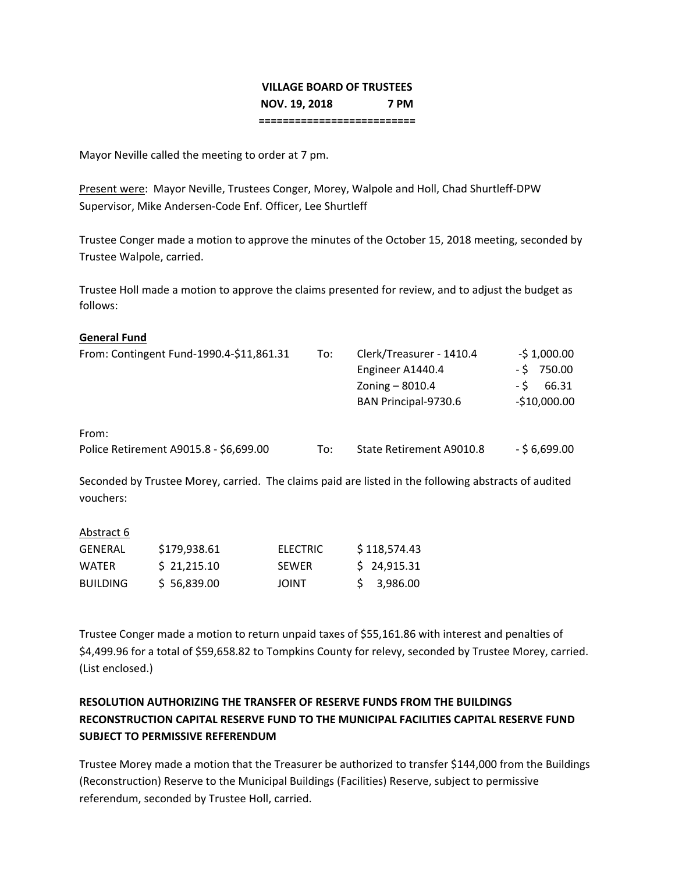# **VILLAGE BOARD OF TRUSTEES NOV. 19, 2018 7 PM**

**==========================**

Mayor Neville called the meeting to order at 7 pm.

Present were: Mayor Neville, Trustees Conger, Morey, Walpole and Holl, Chad Shurtleff‐DPW Supervisor, Mike Andersen‐Code Enf. Officer, Lee Shurtleff

Trustee Conger made a motion to approve the minutes of the October 15, 2018 meeting, seconded by Trustee Walpole, carried.

Trustee Holl made a motion to approve the claims presented for review, and to adjust the budget as follows:

### **General Fund**

| From: Contingent Fund-1990.4-\$11,861.31        | To: | Clerk/Treasurer - 1410.4<br>Engineer A1440.4<br>Zoning - 8010.4<br>BAN Principal-9730.6 | $-51,000.00$<br>$-5$ 750.00<br>66.31<br>- S<br>$-$10,000.00$ |
|-------------------------------------------------|-----|-----------------------------------------------------------------------------------------|--------------------------------------------------------------|
| From:<br>Police Retirement A9015.8 - \$6,699.00 | To: | State Retirement A9010.8                                                                | $-56,699.00$                                                 |

Seconded by Trustee Morey, carried. The claims paid are listed in the following abstracts of audited vouchers:

| Abstract 6      |              |              |              |
|-----------------|--------------|--------------|--------------|
| GENERAL         | \$179,938.61 | ELECTRIC     | \$118,574.43 |
| <b>WATFR</b>    | \$21,215.10  | <b>SEWER</b> | \$24,915.31  |
| <b>BUILDING</b> | \$56,839.00  | <b>JOINT</b> | \$3,986.00   |

Trustee Conger made a motion to return unpaid taxes of \$55,161.86 with interest and penalties of \$4,499.96 for a total of \$59,658.82 to Tompkins County for relevy, seconded by Trustee Morey, carried. (List enclosed.)

## **RESOLUTION AUTHORIZING THE TRANSFER OF RESERVE FUNDS FROM THE BUILDINGS RECONSTRUCTION CAPITAL RESERVE FUND TO THE MUNICIPAL FACILITIES CAPITAL RESERVE FUND SUBJECT TO PERMISSIVE REFERENDUM**

Trustee Morey made a motion that the Treasurer be authorized to transfer \$144,000 from the Buildings (Reconstruction) Reserve to the Municipal Buildings (Facilities) Reserve, subject to permissive referendum, seconded by Trustee Holl, carried.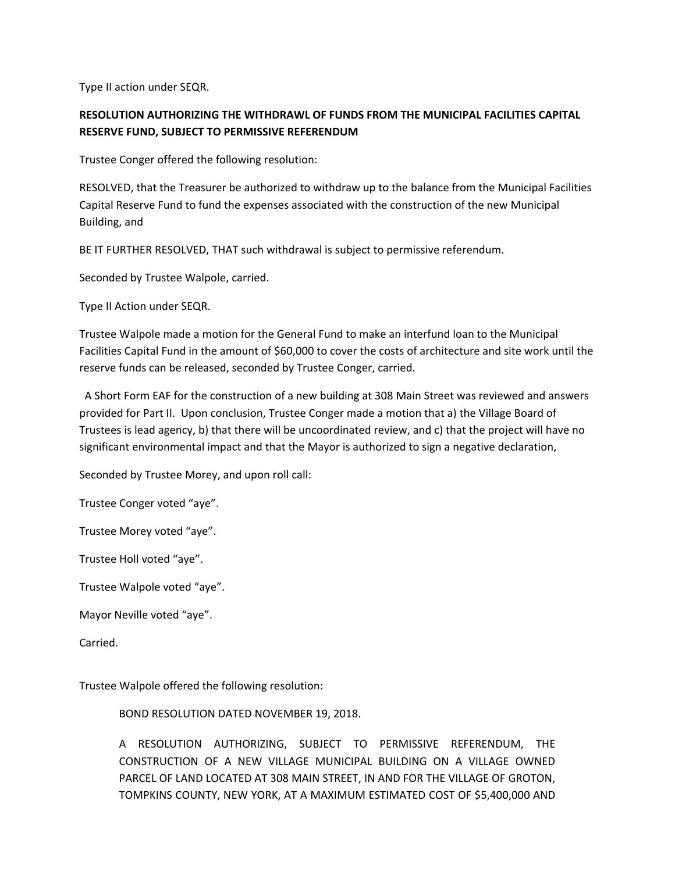Type II action under SEQR.

### **RESOLUTION AUTHORIZING THE WITHDRAWL OF FUNDS FROM THE MUNICIPAL FACILITIES CAPITAL RESERVE FUND, SUBJECT TO PERMISSIVE REFERENDUM**

Trustee Conger offered the following resolution:

RESOLVED, that the Treasurer be authorized to withdraw up to the balance from the Municipal Facilities Capital Reserve Fund to fund the expenses associated with the construction of the new Municipal Building, and

BE IT FURTHER RESOLVED, THAT such withdrawal is subject to permissive referendum.

Seconded by Trustee Walpole, carried.

Type II Action under SEQR.

Trustee Walpole made a motion for the General Fund to make an interfund loan to the Municipal Facilities Capital Fund in the amount of \$60,000 to cover the costs of architecture and site work until the reserve funds can be released, seconded by Trustee Conger, carried.

 A Short Form EAF for the construction of a new building at 308 Main Street was reviewed and answers provided for Part II. Upon conclusion, Trustee Conger made a motion that a) the Village Board of Trustees is lead agency, b) that there will be uncoordinated review, and c) that the project will have no significant environmental impact and that the Mayor is authorized to sign a negative declaration,

Seconded by Trustee Morey, and upon roll call:

Trustee Conger voted "aye".

Trustee Morey voted "aye".

Trustee Holl voted "aye".

Trustee Walpole voted "aye".

Mayor Neville voted "aye".

Carried.

Trustee Walpole offered the following resolution:

BOND RESOLUTION DATED NOVEMBER 19, 2018.

A RESOLUTION AUTHORIZING, SUBJECT TO PERMISSIVE REFERENDUM, THE CONSTRUCTION OF A NEW VILLAGE MUNICIPAL BUILDING ON A VILLAGE OWNED PARCEL OF LAND LOCATED AT 308 MAIN STREET, IN AND FOR THE VILLAGE OF GROTON, TOMPKINS COUNTY, NEW YORK, AT A MAXIMUM ESTIMATED COST OF \$5,400,000 AND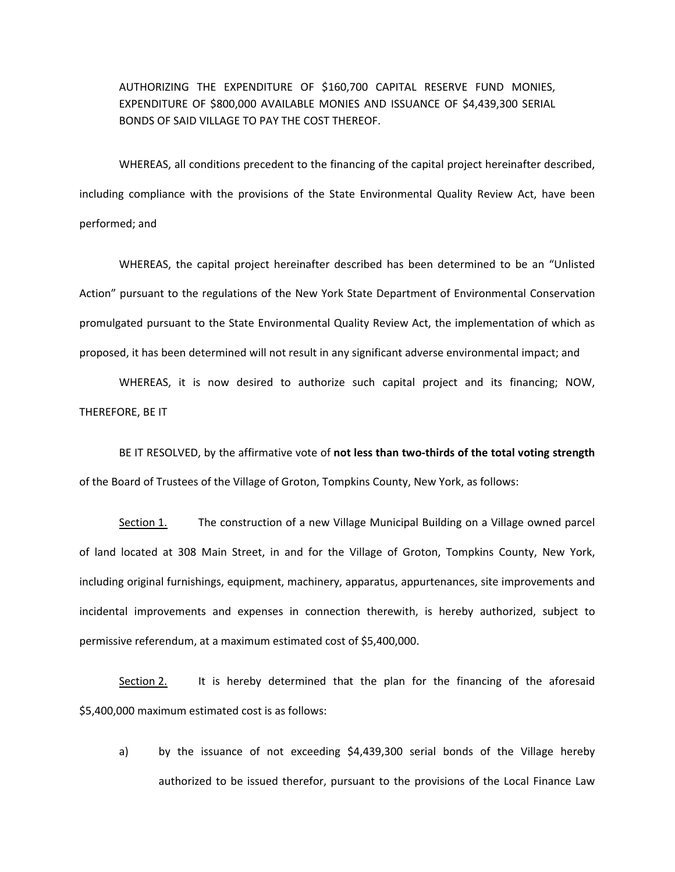AUTHORIZING THE EXPENDITURE OF \$160,700 CAPITAL RESERVE FUND MONIES, EXPENDITURE OF \$800,000 AVAILABLE MONIES AND ISSUANCE OF \$4,439,300 SERIAL BONDS OF SAID VILLAGE TO PAY THE COST THEREOF.

WHEREAS, all conditions precedent to the financing of the capital project hereinafter described, including compliance with the provisions of the State Environmental Quality Review Act, have been performed; and

WHEREAS, the capital project hereinafter described has been determined to be an "Unlisted Action" pursuant to the regulations of the New York State Department of Environmental Conservation promulgated pursuant to the State Environmental Quality Review Act, the implementation of which as proposed, it has been determined will not result in any significant adverse environmental impact; and

WHEREAS, it is now desired to authorize such capital project and its financing; NOW, THEREFORE, BE IT

BE IT RESOLVED, by the affirmative vote of **not less than two‐thirds of the total voting strength** of the Board of Trustees of the Village of Groton, Tompkins County, New York, as follows:

Section 1. The construction of a new Village Municipal Building on a Village owned parcel of land located at 308 Main Street, in and for the Village of Groton, Tompkins County, New York, including original furnishings, equipment, machinery, apparatus, appurtenances, site improvements and incidental improvements and expenses in connection therewith, is hereby authorized, subject to permissive referendum, at a maximum estimated cost of \$5,400,000.

Section 2. It is hereby determined that the plan for the financing of the aforesaid \$5,400,000 maximum estimated cost is as follows:

a) by the issuance of not exceeding \$4,439,300 serial bonds of the Village hereby authorized to be issued therefor, pursuant to the provisions of the Local Finance Law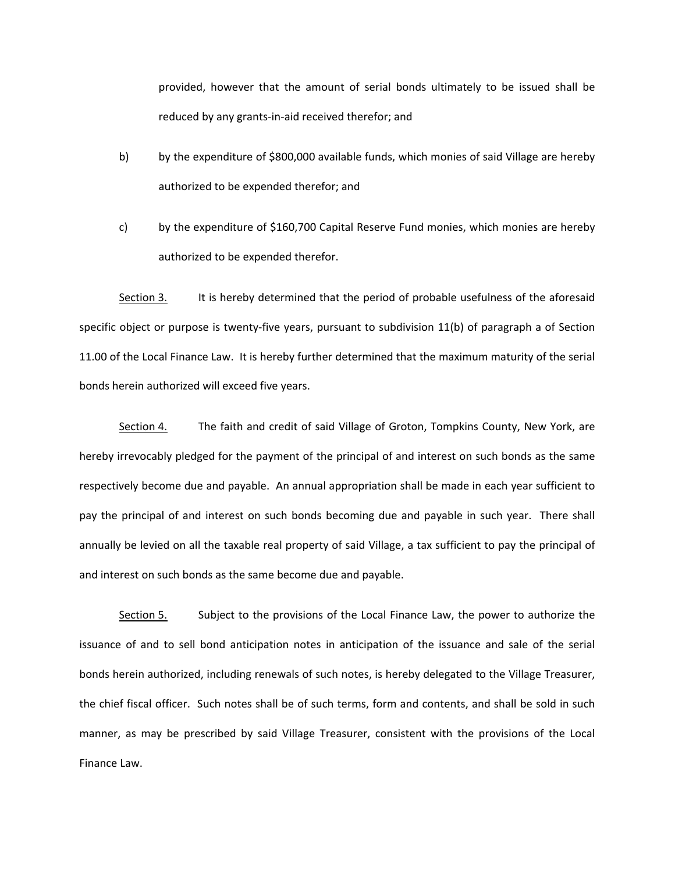provided, however that the amount of serial bonds ultimately to be issued shall be reduced by any grants‐in‐aid received therefor; and

- b) by the expenditure of \$800,000 available funds, which monies of said Village are hereby authorized to be expended therefor; and
- c) by the expenditure of \$160,700 Capital Reserve Fund monies, which monies are hereby authorized to be expended therefor.

Section 3. It is hereby determined that the period of probable usefulness of the aforesaid specific object or purpose is twenty-five years, pursuant to subdivision 11(b) of paragraph a of Section 11.00 of the Local Finance Law. It is hereby further determined that the maximum maturity of the serial bonds herein authorized will exceed five years.

Section 4. The faith and credit of said Village of Groton, Tompkins County, New York, are hereby irrevocably pledged for the payment of the principal of and interest on such bonds as the same respectively become due and payable. An annual appropriation shall be made in each year sufficient to pay the principal of and interest on such bonds becoming due and payable in such year. There shall annually be levied on all the taxable real property of said Village, a tax sufficient to pay the principal of and interest on such bonds as the same become due and payable.

Section 5. Subject to the provisions of the Local Finance Law, the power to authorize the issuance of and to sell bond anticipation notes in anticipation of the issuance and sale of the serial bonds herein authorized, including renewals of such notes, is hereby delegated to the Village Treasurer, the chief fiscal officer. Such notes shall be of such terms, form and contents, and shall be sold in such manner, as may be prescribed by said Village Treasurer, consistent with the provisions of the Local Finance Law.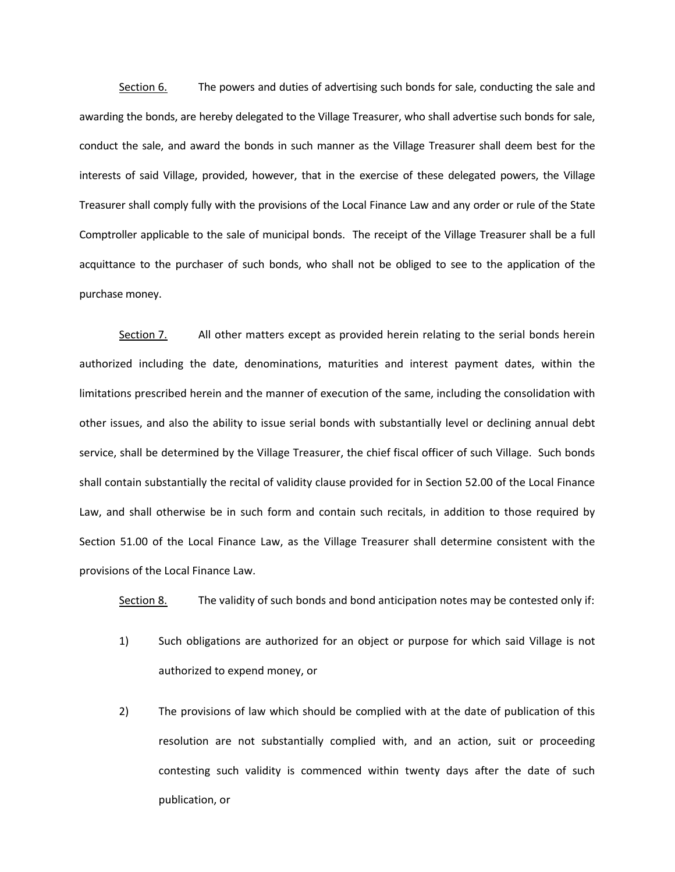Section 6. The powers and duties of advertising such bonds for sale, conducting the sale and awarding the bonds, are hereby delegated to the Village Treasurer, who shall advertise such bonds for sale, conduct the sale, and award the bonds in such manner as the Village Treasurer shall deem best for the interests of said Village, provided, however, that in the exercise of these delegated powers, the Village Treasurer shall comply fully with the provisions of the Local Finance Law and any order or rule of the State Comptroller applicable to the sale of municipal bonds. The receipt of the Village Treasurer shall be a full acquittance to the purchaser of such bonds, who shall not be obliged to see to the application of the purchase money.

Section 7. All other matters except as provided herein relating to the serial bonds herein authorized including the date, denominations, maturities and interest payment dates, within the limitations prescribed herein and the manner of execution of the same, including the consolidation with other issues, and also the ability to issue serial bonds with substantially level or declining annual debt service, shall be determined by the Village Treasurer, the chief fiscal officer of such Village. Such bonds shall contain substantially the recital of validity clause provided for in Section 52.00 of the Local Finance Law, and shall otherwise be in such form and contain such recitals, in addition to those required by Section 51.00 of the Local Finance Law, as the Village Treasurer shall determine consistent with the provisions of the Local Finance Law.

Section 8. The validity of such bonds and bond anticipation notes may be contested only if:

- 1) Such obligations are authorized for an object or purpose for which said Village is not authorized to expend money, or
- 2) The provisions of law which should be complied with at the date of publication of this resolution are not substantially complied with, and an action, suit or proceeding contesting such validity is commenced within twenty days after the date of such publication, or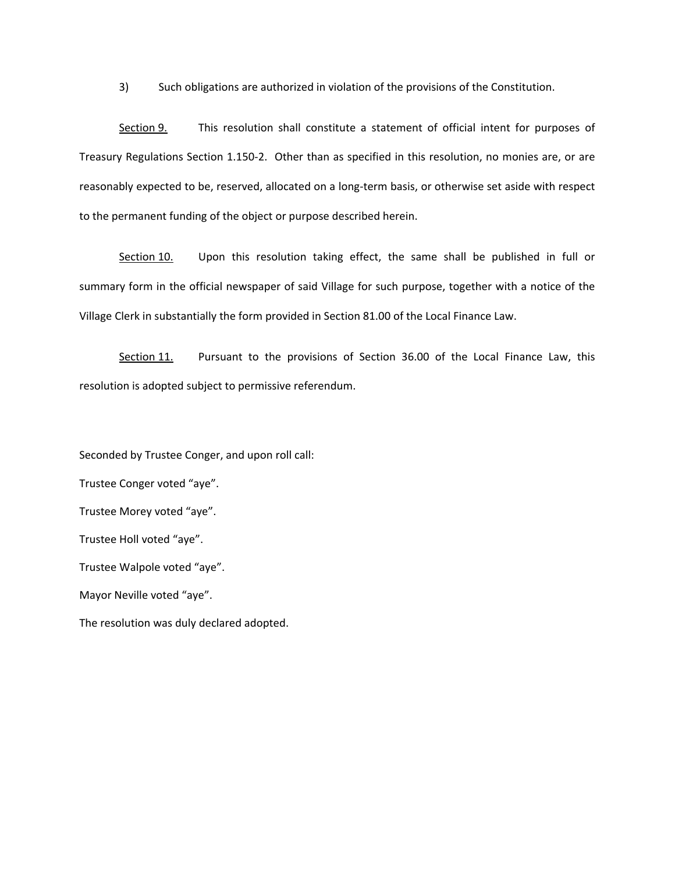3) Such obligations are authorized in violation of the provisions of the Constitution.

Section 9. This resolution shall constitute a statement of official intent for purposes of Treasury Regulations Section 1.150‐2. Other than as specified in this resolution, no monies are, or are reasonably expected to be, reserved, allocated on a long‐term basis, or otherwise set aside with respect to the permanent funding of the object or purpose described herein.

Section 10. Upon this resolution taking effect, the same shall be published in full or summary form in the official newspaper of said Village for such purpose, together with a notice of the Village Clerk in substantially the form provided in Section 81.00 of the Local Finance Law.

Section 11. Pursuant to the provisions of Section 36.00 of the Local Finance Law, this resolution is adopted subject to permissive referendum.

Seconded by Trustee Conger, and upon roll call: Trustee Conger voted "aye". Trustee Morey voted "aye". Trustee Holl voted "aye". Trustee Walpole voted "aye". Mayor Neville voted "aye". The resolution was duly declared adopted.